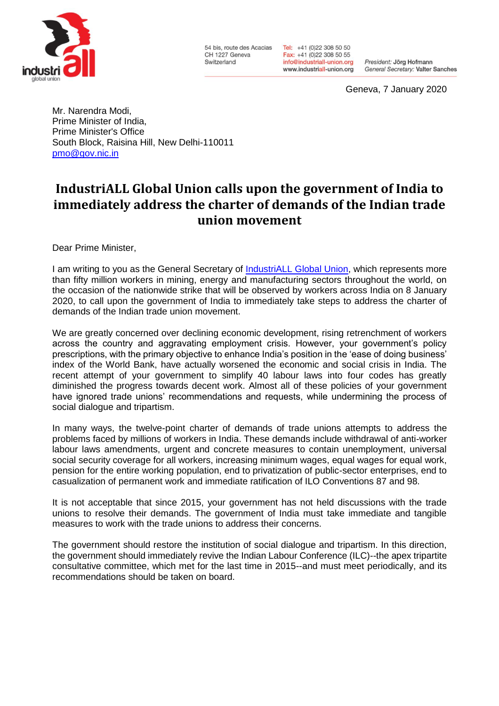

54 bis, route des Acacias CH 1227 Geneva Switzerland

Tel: +41 (0)22 308 50 50 Fax: +41 (0)22 308 50 55 info@industriall-union.org www.industriall-union.org

President: Jörg Hofmann General Secretary: Valter Sanches

Geneva, 7 January 2020

Mr. Narendra Modi, Prime Minister of India, Prime Minister's Office South Block, Raisina Hill, New Delhi-110011 [pmo@gov.nic.in](mailto:pmo@gov.nic.in)

## **IndustriALL Global Union calls upon the government of India to immediately address the charter of demands of the Indian trade union movement**

Dear Prime Minister,

I am writing to you as the General Secretary of [IndustriALL Global Union,](http://www.industriall-union.org/) which represents more than fifty million workers in mining, energy and manufacturing sectors throughout the world, on the occasion of the nationwide strike that will be observed by workers across India on 8 January 2020, to call upon the government of India to immediately take steps to address the charter of demands of the Indian trade union movement.

We are greatly concerned over declining economic development, rising retrenchment of workers across the country and aggravating employment crisis. However, your government's policy prescriptions, with the primary objective to enhance India's position in the 'ease of doing business' index of the World Bank, have actually worsened the economic and social crisis in India. The recent attempt of your government to simplify 40 labour laws into four codes has greatly diminished the progress towards decent work. Almost all of these policies of your government have ignored trade unions' recommendations and requests, while undermining the process of social dialogue and tripartism.

In many ways, the twelve-point charter of demands of trade unions attempts to address the problems faced by millions of workers in India. These demands include withdrawal of anti-worker labour laws amendments, urgent and concrete measures to contain unemployment, universal social security coverage for all workers, increasing minimum wages, equal wages for equal work, pension for the entire working population, end to privatization of public-sector enterprises, end to casualization of permanent work and immediate ratification of ILO Conventions 87 and 98.

It is not acceptable that since 2015, your government has not held discussions with the trade unions to resolve their demands. The government of India must take immediate and tangible measures to work with the trade unions to address their concerns.

The government should restore the institution of social dialogue and tripartism. In this direction, the government should immediately revive the Indian Labour Conference (ILC)--the apex tripartite consultative committee, which met for the last time in 2015--and must meet periodically, and its recommendations should be taken on board.